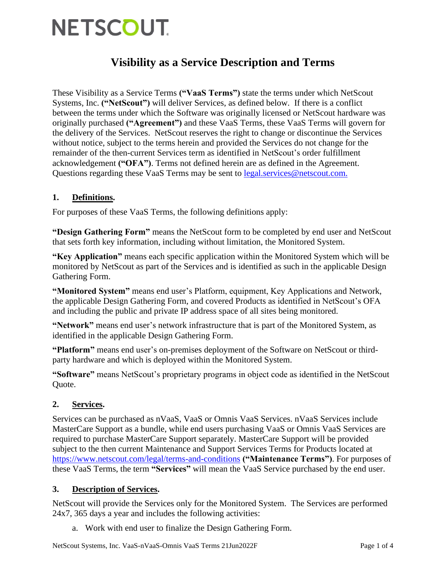# **NETSCOUT**

# **Visibility as a Service Description and Terms**

These Visibility as a Service Terms **("VaaS Terms")** state the terms under which NetScout Systems, Inc. **("NetScout")** will deliver Services, as defined below. If there is a conflict between the terms under which the Software was originally licensed or NetScout hardware was originally purchased **("Agreement")** and these VaaS Terms, these VaaS Terms will govern for the delivery of the Services. NetScout reserves the right to change or discontinue the Services without notice, subject to the terms herein and provided the Services do not change for the remainder of the then-current Services term as identified in NetScout's order fulfillment acknowledgement **("OFA")**. Terms not defined herein are as defined in the Agreement. Questions regarding these VaaS Terms may be sent to [legal.services@netscout.com.](mailto:.)

## **1. Definitions.**

For purposes of these VaaS Terms, the following definitions apply:

**"Design Gathering Form"** means the NetScout form to be completed by end user and NetScout that sets forth key information, including without limitation, the Monitored System.

**"Key Application"** means each specific application within the Monitored System which will be monitored by NetScout as part of the Services and is identified as such in the applicable Design Gathering Form.

**"Monitored System"** means end user's Platform, equipment, Key Applications and Network, the applicable Design Gathering Form, and covered Products as identified in NetScout's OFA and including the public and private IP address space of all sites being monitored.

**"Network"** means end user's network infrastructure that is part of the Monitored System, as identified in the applicable Design Gathering Form.

**"Platform"** means end user's on-premises deployment of the Software on NetScout or thirdparty hardware and which is deployed within the Monitored System.

**"Software"** means NetScout's proprietary programs in object code as identified in the NetScout Quote.

### **2. Services.**

Services can be purchased as nVaaS, VaaS or Omnis VaaS Services. nVaaS Services include MasterCare Support as a bundle, while end users purchasing VaaS or Omnis VaaS Services are required to purchase MasterCare Support separately. MasterCare Support will be provided subject to the then current Maintenance and Support Services Terms for Products located at <https://www.netscout.com/legal/terms-and-conditions> **("Maintenance Terms")**. For purposes of these VaaS Terms, the term **"Services"** will mean the VaaS Service purchased by the end user.

### **3. Description of Services.**

NetScout will provide the Services only for the Monitored System. The Services are performed 24x7, 365 days a year and includes the following activities:

a. Work with end user to finalize the Design Gathering Form.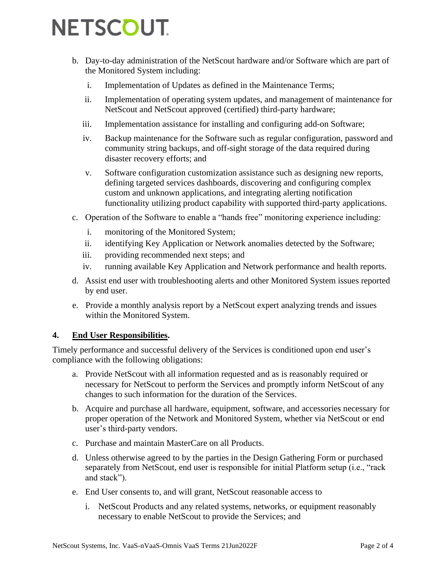# **NETSCOUT.**

- b. Day-to-day administration of the NetScout hardware and/or Software which are part of the Monitored System including:
	- i. Implementation of Updates as defined in the Maintenance Terms;
	- ii. Implementation of operating system updates, and management of maintenance for NetScout and NetScout approved (certified) third-party hardware;
	- iii. Implementation assistance for installing and configuring add-on Software;
	- iv. Backup maintenance for the Software such as regular configuration, password and community string backups, and off-sight storage of the data required during disaster recovery efforts; and
	- v. Software configuration customization assistance such as designing new reports, defining targeted services dashboards, discovering and configuring complex custom and unknown applications, and integrating alerting notification functionality utilizing product capability with supported third-party applications.
- c. Operation of the Software to enable a "hands free" monitoring experience including:
	- i. monitoring of the Monitored System;
	- ii. identifying Key Application or Network anomalies detected by the Software;
	- iii. providing recommended next steps; and
	- iv. running available Key Application and Network performance and health reports.
- d. Assist end user with troubleshooting alerts and other Monitored System issues reported by end user.
- e. Provide a monthly analysis report by a NetScout expert analyzing trends and issues within the Monitored System.

#### **4. End User Responsibilities.**

Timely performance and successful delivery of the Services is conditioned upon end user's compliance with the following obligations:

- a. Provide NetScout with all information requested and as is reasonably required or necessary for NetScout to perform the Services and promptly inform NetScout of any changes to such information for the duration of the Services.
- b. Acquire and purchase all hardware, equipment, software, and accessories necessary for proper operation of the Network and Monitored System, whether via NetScout or end user's third-party vendors.
- c. Purchase and maintain MasterCare on all Products.
- d. Unless otherwise agreed to by the parties in the Design Gathering Form or purchased separately from NetScout, end user is responsible for initial Platform setup (i.e., "rack and stack").
- e. End User consents to, and will grant, NetScout reasonable access to
	- i. NetScout Products and any related systems, networks, or equipment reasonably necessary to enable NetScout to provide the Services; and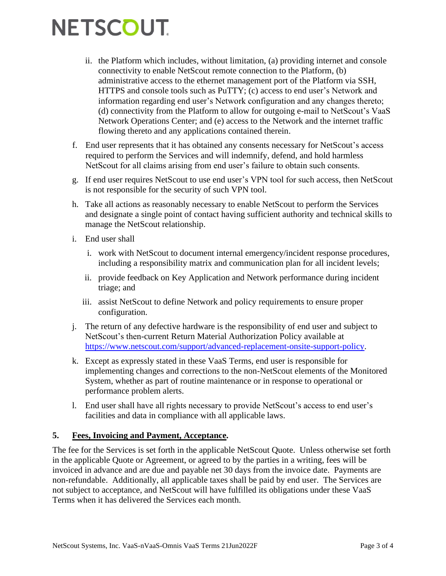# **NETSCOUT**

- ii. the Platform which includes, without limitation, (a) providing internet and console connectivity to enable NetScout remote connection to the Platform, (b) administrative access to the ethernet management port of the Platform via SSH, HTTPS and console tools such as PuTTY; (c) access to end user's Network and information regarding end user's Network configuration and any changes thereto; (d) connectivity from the Platform to allow for outgoing e-mail to NetScout's VaaS Network Operations Center; and (e) access to the Network and the internet traffic flowing thereto and any applications contained therein.
- f. End user represents that it has obtained any consents necessary for NetScout's access required to perform the Services and will indemnify, defend, and hold harmless NetScout for all claims arising from end user's failure to obtain such consents.
- g. If end user requires NetScout to use end user's VPN tool for such access, then NetScout is not responsible for the security of such VPN tool.
- h. Take all actions as reasonably necessary to enable NetScout to perform the Services and designate a single point of contact having sufficient authority and technical skills to manage the NetScout relationship.
- i. End user shall
	- i. work with NetScout to document internal emergency/incident response procedures, including a responsibility matrix and communication plan for all incident levels;
	- ii. provide feedback on Key Application and Network performance during incident triage; and
	- iii. assist NetScout to define Network and policy requirements to ensure proper configuration.
- j. The return of any defective hardware is the responsibility of end user and subject to NetScout's then-current Return Material Authorization Policy available at [https://www.netscout.com/support/advanced-replacement-onsite-support-policy.](https://www.netscout.com/support/advanced-replacement-onsite-support-policy)
- k. Except as expressly stated in these VaaS Terms, end user is responsible for implementing changes and corrections to the non-NetScout elements of the Monitored System, whether as part of routine maintenance or in response to operational or performance problem alerts.
- l. End user shall have all rights necessary to provide NetScout's access to end user's facilities and data in compliance with all applicable laws.

### **5. Fees, Invoicing and Payment, Acceptance.**

The fee for the Services is set forth in the applicable NetScout Quote. Unless otherwise set forth in the applicable Quote or Agreement, or agreed to by the parties in a writing, fees will be invoiced in advance and are due and payable net 30 days from the invoice date. Payments are non-refundable. Additionally, all applicable taxes shall be paid by end user. The Services are not subject to acceptance, and NetScout will have fulfilled its obligations under these VaaS Terms when it has delivered the Services each month.